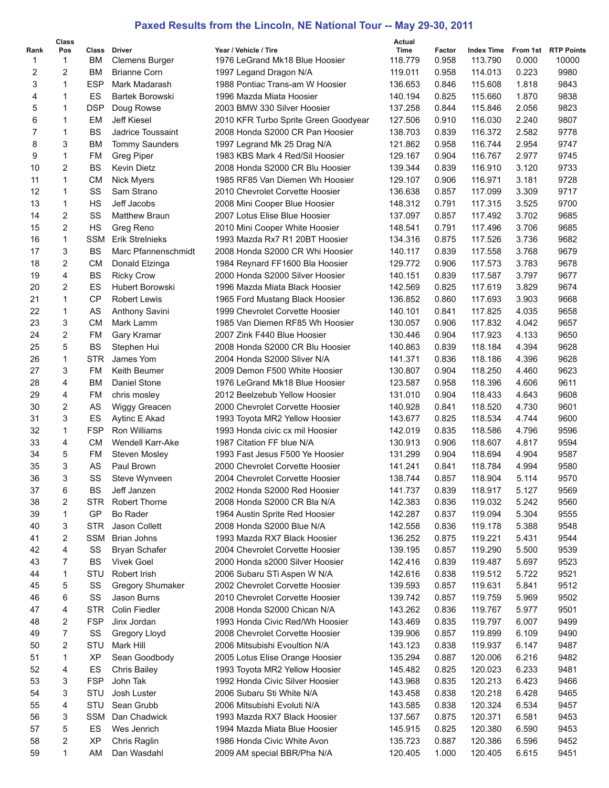## **Paxed Results from the Lincoln, NE National Tour -- May 29-30, 2011**

|                | Class          |                 |                                       |                                                                | Actual             |                 |                              |                |                              |
|----------------|----------------|-----------------|---------------------------------------|----------------------------------------------------------------|--------------------|-----------------|------------------------------|----------------|------------------------------|
| Rank<br>1      | Pos<br>1       | ВM              | Class Driver<br><b>Clemens Burger</b> | Year / Vehicle / Tire<br>1976 LeGrand Mk18 Blue Hoosier        | Time<br>118.779    | Factor<br>0.958 | <b>Index Time</b><br>113.790 | 0.000          | From 1st RTP Points<br>10000 |
| $\overline{2}$ | 2              | BM              | <b>Brianne Corn</b>                   | 1997 Legand Dragon N/A                                         | 119.011            | 0.958           | 114.013                      | 0.223          | 9980                         |
| 3              | 1              | <b>ESP</b>      | Mark Madarash                         | 1988 Pontiac Trans-am W Hoosier                                | 136.653            | 0.846           | 115.608                      | 1.818          | 9843                         |
| 4              | 1              | ES              | Bartek Borowski                       | 1996 Mazda Miata Hoosier                                       | 140.194            | 0.825           | 115.660                      | 1.870          | 9838                         |
| 5              | 1              | <b>DSP</b>      | Doug Rowse                            | 2003 BMW 330 Silver Hoosier                                    | 137.258            | 0.844           | 115.846                      | 2.056          | 9823                         |
| 6              | 1              | EM              | Jeff Kiesel                           | 2010 KFR Turbo Sprite Green Goodyear                           | 127.506            | 0.910           | 116.030                      | 2.240          | 9807                         |
| $\overline{7}$ | 1              | <b>BS</b>       | Jadrice Toussaint                     | 2008 Honda S2000 CR Pan Hoosier                                | 138.703            | 0.839           | 116.372                      | 2.582          | 9778                         |
| 8              | 3              | <b>BM</b>       | <b>Tommy Saunders</b>                 | 1997 Legrand Mk 25 Drag N/A                                    | 121.862            | 0.958           | 116.744                      | 2.954          | 9747                         |
| 9              | 1              | FM              | Greg Piper                            | 1983 KBS Mark 4 Red/Sil Hoosier                                | 129.167            | 0.904           | 116.767                      | 2.977          | 9745                         |
| 10             | 2              | <b>BS</b>       | <b>Kevin Dietz</b>                    | 2008 Honda S2000 CR Blu Hoosier                                | 139.344            | 0.839           | 116.910                      | 3.120          | 9733                         |
| 11             | 1              | <b>CM</b>       | Nick Myers                            | 1985 RF85 Van Diemen Wh Hoosier                                | 129.107            | 0.906           | 116.971                      | 3.181          | 9728                         |
| 12             | 1              | SS              | Sam Strano                            | 2010 Chevrolet Corvette Hoosier                                | 136.638            | 0.857           | 117.099                      | 3.309          | 9717                         |
| 13             | 1              | <b>HS</b>       | Jeff Jacobs                           | 2008 Mini Cooper Blue Hoosier                                  | 148.312            | 0.791           | 117.315                      | 3.525          | 9700                         |
| 14             | $\overline{2}$ | SS              | <b>Matthew Braun</b>                  | 2007 Lotus Elise Blue Hoosier                                  | 137.097            | 0.857           | 117.492                      | 3.702          | 9685                         |
| 15             | $\overline{2}$ | HS              | Greg Reno                             | 2010 Mini Cooper White Hoosier                                 | 148.541            | 0.791           | 117.496                      | 3.706          | 9685                         |
| 16             | 1              | <b>SSM</b>      | <b>Erik Strelnieks</b>                | 1993 Mazda Rx7 R1 20BT Hoosier                                 | 134.316            | 0.875           | 117.526                      | 3.736          | 9682                         |
| 17             | 3              | <b>BS</b>       | Marc Pfannenschmidt                   | 2008 Honda S2000 CR Whi Hoosier                                | 140.117            | 0.839           | 117.558                      | 3.768          | 9679                         |
| 18             | 2              | <b>CM</b>       | Donald Elzinga                        | 1984 Reynard FF1600 Bla Hoosier                                | 129.772            | 0.906           | 117.573                      | 3.783          | 9678                         |
| 19             | 4              | <b>BS</b>       | <b>Ricky Crow</b>                     | 2000 Honda S2000 Silver Hoosier                                | 140.151            | 0.839           | 117.587                      | 3.797          | 9677                         |
| 20             | $\overline{2}$ | ES              | <b>Hubert Borowski</b>                | 1996 Mazda Miata Black Hoosier                                 | 142.569            | 0.825           | 117.619                      | 3.829          | 9674                         |
| 21             | 1              | <b>CP</b>       | Robert Lewis                          | 1965 Ford Mustang Black Hoosier                                | 136.852            | 0.860           | 117.693                      | 3.903          | 9668                         |
| 22             | 1              | AS              | <b>Anthony Savini</b>                 | 1999 Chevrolet Corvette Hoosier                                | 140.101            | 0.841           | 117.825                      | 4.035          | 9658                         |
| 23             | 3              | <b>CM</b>       | Mark Lamm                             | 1985 Van Diemen RF85 Wh Hoosier                                | 130.057            | 0.906           | 117.832                      | 4.042          | 9657                         |
| 24             | $\overline{2}$ | FM              | Gary Kramar                           | 2007 Zink F440 Blue Hoosier                                    | 130.446            | 0.904           | 117.923                      | 4.133          | 9650                         |
| 25             | 5              | <b>BS</b>       | Stephen Hui                           | 2008 Honda S2000 CR Blu Hoosier                                | 140.863            | 0.839           | 118.184                      | 4.394          | 9628                         |
| 26             | 1              | <b>STR</b>      | James Yom                             | 2004 Honda S2000 Sliver N/A                                    | 141.371            | 0.836           | 118.186                      | 4.396          | 9628                         |
| 27             | 3              | FM              | Keith Beumer                          | 2009 Demon F500 White Hoosier                                  | 130.807            | 0.904           | 118.250                      | 4.460          | 9623                         |
| 28             | 4              | ВM              | Daniel Stone                          | 1976 LeGrand Mk18 Blue Hoosier                                 | 123.587            | 0.958           | 118.396                      | 4.606          | 9611                         |
| 29             | 4              | FM              | chris mosley                          | 2012 Beelzebub Yellow Hoosier                                  | 131.010            | 0.904           | 118.433                      | 4.643          | 9608                         |
| 30             | $\overline{2}$ | AS              | Wiggy Greacen                         | 2000 Chevrolet Corvette Hoosier                                | 140.928            | 0.841           | 118.520                      | 4.730          | 9601                         |
| 31             | 3              | ES              | Aytinc E Akad                         | 1993 Toyota MR2 Yellow Hoosier                                 | 143.677            | 0.825           | 118.534                      | 4.744          | 9600                         |
| 32             | 1              | <b>FSP</b>      | <b>Ron Williams</b>                   | 1993 Honda civic cx mil Hoosier                                | 142.019            | 0.835           | 118.586                      | 4.796          | 9596                         |
| 33             | 4              | <b>CM</b>       | <b>Wendell Karr-Ake</b>               | 1987 Citation FF blue N/A                                      | 130.913            | 0.906           | 118.607                      | 4.817          | 9594                         |
| 34             | 5              | FM              | <b>Steven Mosley</b>                  | 1993 Fast Jesus F500 Ye Hoosier                                | 131.299            | 0.904           | 118.694                      | 4.904          | 9587                         |
| 35             | 3              | AS              | Paul Brown                            | 2000 Chevrolet Corvette Hoosier                                | 141.241            | 0.841           | 118.784                      | 4.994          | 9580                         |
| 36             | 3              | SS              | Steve Wynveen                         | 2004 Chevrolet Corvette Hoosier                                | 138.744            | 0.857           | 118.904                      | 5.114          | 9570                         |
| 37             | 6              | BS              | Jeff Janzen                           | 2002 Honda S2000 Red Hoosier                                   | 141.737            | 0.839           | 118.917                      | 5.127          | 9569                         |
| 38             | 2              | <b>STR</b>      | Robert Thorne                         | 2008 Honda S2000 CR Bla N/A                                    | 142.383            | 0.836           | 119.032                      | 5.242          | 9560                         |
| 39             | 1              | GP              | Bo Rader                              | 1964 Austin Sprite Red Hoosier                                 | 142.287            | 0.837           | 119.094                      | 5.304          | 9555                         |
| 40             | 3              | <b>STR</b>      | Jason Collett                         | 2008 Honda S2000 Blue N/A                                      | 142.558            | 0.836           | 119.178                      | 5.388          | 9548                         |
| 41             | 2              | SSM             | Brian Johns                           | 1993 Mazda RX7 Black Hoosier                                   | 136.252            | 0.875           | 119.221                      | 5.431          | 9544                         |
| 42             | 4              | SS<br><b>BS</b> | <b>Bryan Schafer</b>                  | 2004 Chevrolet Corvette Hoosier                                | 139.195<br>142.416 | 0.857           | 119.290<br>119.487           | 5.500          | 9539                         |
| 43<br>44       | 7<br>1         | STU             | <b>Vivek Goel</b><br>Robert Irish     | 2000 Honda s2000 Silver Hoosier                                | 142.616            | 0.839<br>0.838  | 119.512                      | 5.697          | 9523<br>9521                 |
| 45             | 5              | SS              | <b>Gregory Shumaker</b>               | 2006 Subaru STi Aspen W N/A<br>2002 Chevrolet Corvette Hoosier | 139.593            | 0.857           | 119.631                      | 5.722<br>5.841 | 9512                         |
| 46             | 6              | SS              | Jason Burns                           | 2010 Chevrolet Corvette Hoosier                                | 139.742            | 0.857           | 119.759                      | 5.969          | 9502                         |
| 47             | 4              | <b>STR</b>      | <b>Colin Fiedler</b>                  | 2008 Honda S2000 Chican N/A                                    | 143.262            | 0.836           | 119.767                      | 5.977          | 9501                         |
| 48             | 2              | <b>FSP</b>      | Jinx Jordan                           | 1993 Honda Civic Red/Wh Hoosier                                | 143.469            | 0.835           | 119.797                      | 6.007          | 9499                         |
| 49             | 7              | SS              | Gregory Lloyd                         | 2008 Chevrolet Corvette Hoosier                                | 139.906            | 0.857           | 119.899                      | 6.109          | 9490                         |
| 50             | 2              | STU             | Mark Hill                             | 2006 Mitsubishi Evoultion N/A                                  | 143.123            | 0.838           | 119.937                      | 6.147          | 9487                         |
| 51             | 1              | ΧP              | Sean Goodbody                         | 2005 Lotus Elise Orange Hoosier                                | 135.294            | 0.887           | 120.006                      | 6.216          | 9482                         |
| 52             | 4              | ES              | <b>Chris Bailey</b>                   | 1993 Toyota MR2 Yellow Hoosier                                 | 145.482            | 0.825           | 120.023                      | 6.233          | 9481                         |
| 53             | 3              | <b>FSP</b>      | John Tak                              | 1992 Honda Civic Silver Hoosier                                | 143.968            | 0.835           | 120.213                      | 6.423          | 9466                         |
| 54             | 3              | STU             | Josh Luster                           | 2006 Subaru Sti White N/A                                      | 143.458            | 0.838           | 120.218                      | 6.428          | 9465                         |
| 55             | 4              | STU             | Sean Grubb                            | 2006 Mitsubishi Evoluti N/A                                    | 143.585            | 0.838           | 120.324                      | 6.534          | 9457                         |
| 56             | 3              | SSM             | Dan Chadwick                          | 1993 Mazda RX7 Black Hoosier                                   | 137.567            | 0.875           | 120.371                      | 6.581          | 9453                         |
| 57             | 5              | ES              | Wes Jenrich                           | 1994 Mazda Miata Blue Hoosier                                  | 145.915            | 0.825           | 120.380                      | 6.590          | 9453                         |
| 58             | 2              | ΧP              | Chris Raglin                          | 1986 Honda Civic White Avon                                    | 135.723            | 0.887           | 120.386                      | 6.596          | 9452                         |
| 59             | 1              | AM              | Dan Wasdahl                           | 2009 AM special BBR/Pha N/A                                    | 120.405            | 1.000           | 120.405                      | 6.615          | 9451                         |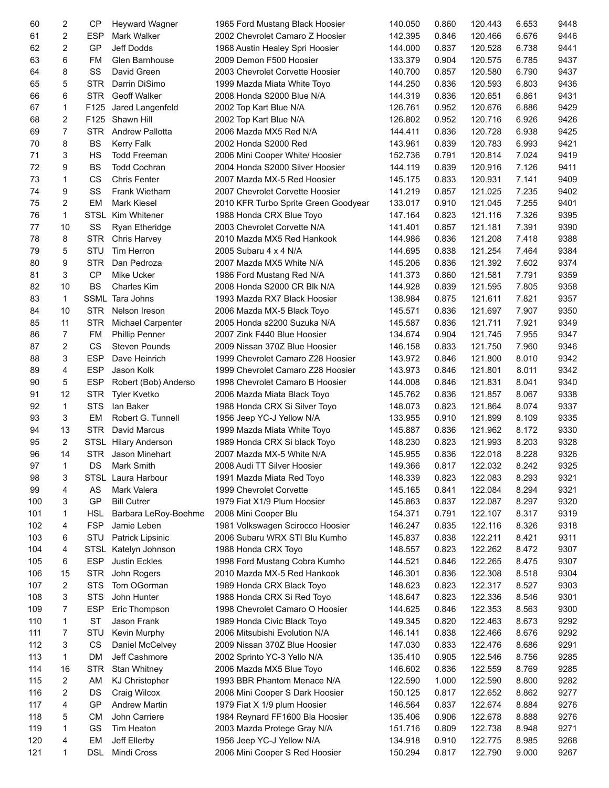| 60  | 2              | <b>CP</b>   | <b>Heyward Wagner</b>    | 1965 Ford Mustang Black Hoosier      | 140.050 | 0.860 | 120.443 | 6.653 | 9448 |
|-----|----------------|-------------|--------------------------|--------------------------------------|---------|-------|---------|-------|------|
| 61  | 2              | <b>ESP</b>  | Mark Walker              | 2002 Chevrolet Camaro Z Hoosier      | 142.395 | 0.846 | 120.466 | 6.676 | 9446 |
| 62  | 2              | GP          | Jeff Dodds               | 1968 Austin Healey Spri Hoosier      | 144.000 | 0.837 | 120.528 | 6.738 | 9441 |
| 63  | 6              | FM          | Glen Barnhouse           | 2009 Demon F500 Hoosier              | 133.379 | 0.904 | 120.575 | 6.785 | 9437 |
| 64  | 8              | SS          | David Green              | 2003 Chevrolet Corvette Hoosier      | 140.700 | 0.857 | 120.580 | 6.790 | 9437 |
| 65  | 5              | <b>STR</b>  | Darrin DiSimo            | 1999 Mazda Miata White Toyo          | 144.250 | 0.836 | 120.593 | 6.803 | 9436 |
| 66  | 6              | <b>STR</b>  | Geoff Walker             | 2008 Honda S2000 Blue N/A            | 144.319 | 0.836 | 120.651 | 6.861 | 9431 |
| 67  | 1              | F125        | Jared Langenfeld         | 2002 Top Kart Blue N/A               | 126.761 | 0.952 | 120.676 | 6.886 | 9429 |
| 68  | 2              | F125        | Shawn Hill               | 2002 Top Kart Blue N/A               | 126.802 | 0.952 | 120.716 | 6.926 | 9426 |
| 69  | $\overline{7}$ | <b>STR</b>  | <b>Andrew Pallotta</b>   | 2006 Mazda MX5 Red N/A               | 144.411 | 0.836 | 120.728 | 6.938 | 9425 |
| 70  | 8              | <b>BS</b>   | <b>Kerry Falk</b>        | 2002 Honda S2000 Red                 | 143.961 | 0.839 | 120.783 | 6.993 | 9421 |
| 71  | 3              | HS          | <b>Todd Freeman</b>      | 2006 Mini Cooper White/ Hoosier      | 152.736 | 0.791 | 120.814 | 7.024 | 9419 |
| 72  | 9              | <b>BS</b>   | <b>Todd Cochran</b>      | 2004 Honda S2000 Silver Hoosier      | 144.119 | 0.839 | 120.916 | 7.126 | 9411 |
| 73  | 1              | CS          | <b>Chris Fenter</b>      | 2007 Mazda MX-5 Red Hoosier          | 145.175 | 0.833 | 120.931 | 7.141 | 9409 |
| 74  | 9              | SS          | <b>Frank Wietharn</b>    | 2007 Chevrolet Corvette Hoosier      | 141.219 | 0.857 | 121.025 | 7.235 | 9402 |
| 75  | 2              | EM          | <b>Mark Kiesel</b>       | 2010 KFR Turbo Sprite Green Goodyear | 133.017 | 0.910 | 121.045 | 7.255 | 9401 |
| 76  | 1              | STSL        | Kim Whitener             | 1988 Honda CRX Blue Toyo             | 147.164 | 0.823 | 121.116 | 7.326 | 9395 |
| 77  | 10             | SS          | Ryan Etheridge           | 2003 Chevrolet Corvette N/A          | 141.401 | 0.857 | 121.181 | 7.391 | 9390 |
| 78  | 8              | <b>STR</b>  | Chris Harvey             | 2010 Mazda MX5 Red Hankook           | 144.986 | 0.836 | 121.208 | 7.418 | 9388 |
| 79  | 5              | STU         | Tim Herron               | 2005 Subaru 4 x 4 N/A                | 144.695 | 0.838 | 121.254 | 7.464 | 9384 |
|     |                |             |                          |                                      |         |       |         |       |      |
| 80  | 9              | <b>STR</b>  | Dan Pedroza              | 2007 Mazda MX5 White N/A             | 145.206 | 0.836 | 121.392 | 7.602 | 9374 |
| 81  | 3              | <b>CP</b>   | Mike Ucker               | 1986 Ford Mustang Red N/A            | 141.373 | 0.860 | 121.581 | 7.791 | 9359 |
| 82  | 10             | <b>BS</b>   | <b>Charles Kim</b>       | 2008 Honda S2000 CR Blk N/A          | 144.928 | 0.839 | 121.595 | 7.805 | 9358 |
| 83  | 1              | <b>SSML</b> | Tara Johns               | 1993 Mazda RX7 Black Hoosier         | 138.984 | 0.875 | 121.611 | 7.821 | 9357 |
| 84  | 10             | <b>STR</b>  | Nelson Ireson            | 2006 Mazda MX-5 Black Toyo           | 145.571 | 0.836 | 121.697 | 7.907 | 9350 |
| 85  | 11             | <b>STR</b>  | <b>Michael Carpenter</b> | 2005 Honda s2200 Suzuka N/A          | 145.587 | 0.836 | 121.711 | 7.921 | 9349 |
| 86  | $\overline{7}$ | <b>FM</b>   | <b>Phillip Penner</b>    | 2007 Zink F440 Blue Hoosier          | 134.674 | 0.904 | 121.745 | 7.955 | 9347 |
| 87  | 2              | CS          | <b>Steven Pounds</b>     | 2009 Nissan 370Z Blue Hoosier        | 146.158 | 0.833 | 121.750 | 7.960 | 9346 |
| 88  | 3              | <b>ESP</b>  | Dave Heinrich            | 1999 Chevrolet Camaro Z28 Hoosier    | 143.972 | 0.846 | 121.800 | 8.010 | 9342 |
| 89  | 4              | <b>ESP</b>  | Jason Kolk               | 1999 Chevrolet Camaro Z28 Hoosier    | 143.973 | 0.846 | 121.801 | 8.011 | 9342 |
| 90  | 5              | <b>ESP</b>  | Robert (Bob) Anderso     | 1998 Chevrolet Camaro B Hoosier      | 144.008 | 0.846 | 121.831 | 8.041 | 9340 |
| 91  | 12             | <b>STR</b>  | <b>Tyler Kvetko</b>      | 2006 Mazda Miata Black Toyo          | 145.762 | 0.836 | 121.857 | 8.067 | 9338 |
| 92  | 1              | <b>STS</b>  | lan Baker                | 1988 Honda CRX Si Silver Toyo        | 148.073 | 0.823 | 121.864 | 8.074 | 9337 |
| 93  | 3              | EM          | Robert G. Tunnell        | 1956 Jeep YC-J Yellow N/A            | 133.955 | 0.910 | 121.899 | 8.109 | 9335 |
| 94  | 13             | <b>STR</b>  | David Marcus             | 1999 Mazda Miata White Toyo          | 145.887 | 0.836 | 121.962 | 8.172 | 9330 |
| 95  | $\overline{2}$ |             | STSL Hilary Anderson     | 1989 Honda CRX Si black Toyo         | 148.230 | 0.823 | 121.993 | 8.203 | 9328 |
| 96  | 14             |             | STR Jason Minehart       | 2007 Mazda MX-5 White N/A            | 145.955 | 0.836 | 122.018 | 8.228 | 9326 |
| 97  | $\mathbf{1}$   |             | DS Mark Smith            | 2008 Audi TT Silver Hoosier          | 149.366 | 0.817 | 122.032 | 8.242 | 9325 |
| 98  | 3              |             | STSL Laura Harbour       | 1991 Mazda Miata Red Toyo            | 148.339 | 0.823 | 122.083 | 8.293 | 9321 |
| 99  | 4              | AS          | Mark Valera              | 1999 Chevrolet Corvette              | 145.165 | 0.841 | 122.084 | 8.294 | 9321 |
| 100 | 3              | GP          | <b>Bill Cutrer</b>       | 1979 Fiat X1/9 Plum Hoosier          | 145.863 | 0.837 | 122.087 | 8.297 | 9320 |
| 101 | 1              | <b>HSL</b>  | Barbara LeRoy-Boehme     | 2008 Mini Cooper Blu                 | 154.371 | 0.791 | 122.107 | 8.317 | 9319 |
| 102 | 4              | <b>FSP</b>  | Jamie Leben              | 1981 Volkswagen Scirocco Hoosier     | 146.247 | 0.835 | 122.116 | 8.326 | 9318 |
| 103 | 6              | STU         | Patrick Lipsinic         | 2006 Subaru WRX STI Blu Kumho        | 145.837 | 0.838 | 122.211 | 8.421 | 9311 |
| 104 | 4              | STSL        | Katelyn Johnson          | 1988 Honda CRX Toyo                  | 148.557 | 0.823 | 122.262 | 8.472 | 9307 |
| 105 | 6              | <b>ESP</b>  | Justin Eckles            | 1998 Ford Mustang Cobra Kumho        | 144.521 | 0.846 | 122.265 | 8.475 | 9307 |
| 106 | 15             | <b>STR</b>  | John Rogers              | 2010 Mazda MX-5 Red Hankook          | 146.301 | 0.836 | 122.308 | 8.518 | 9304 |
| 107 | 2              | <b>STS</b>  | Tom OGorman              | 1989 Honda CRX Black Toyo            | 148.623 | 0.823 | 122.317 | 8.527 | 9303 |
| 108 | 3              | <b>STS</b>  | John Hunter              | 1988 Honda CRX Si Red Toyo           | 148.647 | 0.823 | 122.336 | 8.546 | 9301 |
| 109 | 7              | <b>ESP</b>  | Eric Thompson            | 1998 Chevrolet Camaro O Hoosier      | 144.625 | 0.846 | 122.353 | 8.563 | 9300 |
| 110 | 1              | <b>ST</b>   | Jason Frank              | 1989 Honda Civic Black Toyo          | 149.345 | 0.820 | 122.463 | 8.673 | 9292 |
| 111 | 7              | STU         | Kevin Murphy             | 2006 Mitsubishi Evolution N/A        | 146.141 | 0.838 | 122.466 | 8.676 | 9292 |
| 112 | 3              | CS          | Daniel McCelvey          | 2009 Nissan 370Z Blue Hoosier        | 147.030 | 0.833 | 122.476 | 8.686 | 9291 |
| 113 | 1              | DM          | Jeff Cashmore            | 2002 Sprinto YC-3 Yello N/A          | 135.410 | 0.905 | 122.546 | 8.756 | 9285 |
| 114 | 16             | <b>STR</b>  | Stan Whitney             | 2006 Mazda MX5 Blue Toyo             | 146.602 | 0.836 | 122.559 | 8.769 | 9285 |
|     |                |             |                          |                                      |         |       |         |       |      |
| 115 | 2              | AM          | <b>KJ Christopher</b>    | 1993 BBR Phantom Menace N/A          | 122.590 | 1.000 | 122.590 | 8.800 | 9282 |
| 116 | 2              | DS          | Craig Wilcox             | 2008 Mini Cooper S Dark Hoosier      | 150.125 | 0.817 | 122.652 | 8.862 | 9277 |
| 117 | 4              | GP          | <b>Andrew Martin</b>     | 1979 Fiat X 1/9 plum Hoosier         | 146.564 | 0.837 | 122.674 | 8.884 | 9276 |
| 118 | 5              | <b>CM</b>   | John Carriere            | 1984 Reynard FF1600 Bla Hoosier      | 135.406 | 0.906 | 122.678 | 8.888 | 9276 |
| 119 | 1              | GS          | Tim Heaton               | 2003 Mazda Protege Gray N/A          | 151.716 | 0.809 | 122.738 | 8.948 | 9271 |
| 120 | 4              | EM          | Jeff Ellerby             | 1956 Jeep YC-J Yellow N/A            | 134.918 | 0.910 | 122.775 | 8.985 | 9268 |
| 121 | 1              | <b>DSL</b>  | Mindi Cross              | 2006 Mini Cooper S Red Hoosier       | 150.294 | 0.817 | 122.790 | 9.000 | 9267 |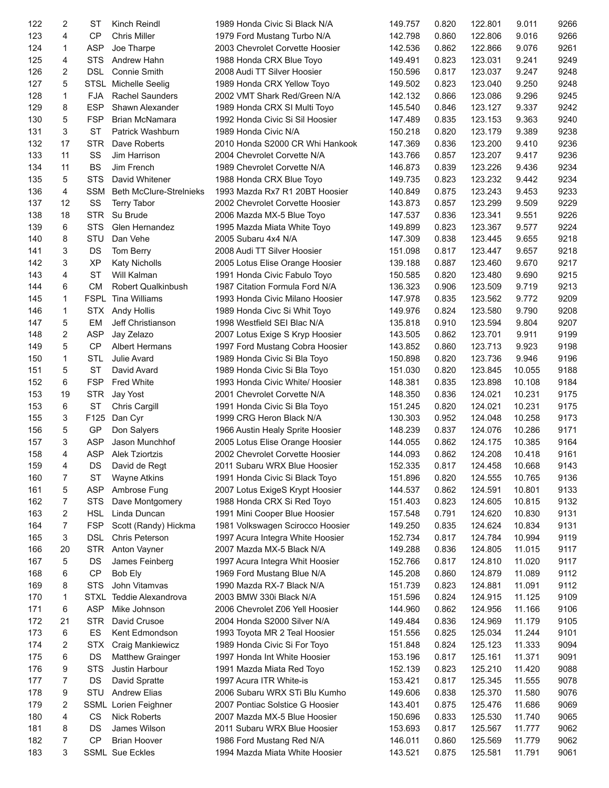| 122 | 2  | <b>ST</b>   | Kinch Reindl                        | 1989 Honda Civic Si Black N/A    | 149.757 | 0.820 | 122.801 | 9.011  | 9266 |
|-----|----|-------------|-------------------------------------|----------------------------------|---------|-------|---------|--------|------|
| 123 | 4  | <b>CP</b>   | <b>Chris Miller</b>                 | 1979 Ford Mustang Turbo N/A      | 142.798 | 0.860 | 122.806 | 9.016  | 9266 |
| 124 | 1  | <b>ASP</b>  | Joe Tharpe                          | 2003 Chevrolet Corvette Hoosier  | 142.536 | 0.862 | 122.866 | 9.076  | 9261 |
| 125 | 4  | <b>STS</b>  | Andrew Hahn                         | 1988 Honda CRX Blue Toyo         | 149.491 | 0.823 | 123.031 | 9.241  | 9249 |
| 126 | 2  | <b>DSL</b>  | <b>Connie Smith</b>                 | 2008 Audi TT Silver Hoosier      | 150.596 | 0.817 | 123.037 | 9.247  | 9248 |
| 127 | 5  |             | STSL Michelle Seelig                | 1989 Honda CRX Yellow Toyo       | 149.502 | 0.823 | 123.040 | 9.250  | 9248 |
| 128 | 1  | <b>FJA</b>  | <b>Rachel Saunders</b>              | 2002 VMT Shark Red/Green N/A     | 142.132 | 0.866 | 123.086 | 9.296  | 9245 |
| 129 | 8  | <b>ESP</b>  | Shawn Alexander                     | 1989 Honda CRX SI Multi Toyo     | 145.540 | 0.846 | 123.127 | 9.337  | 9242 |
| 130 | 5  | <b>FSP</b>  | Brian McNamara                      | 1992 Honda Civic Si Sil Hoosier  | 147.489 | 0.835 | 123.153 | 9.363  | 9240 |
| 131 | 3  | <b>ST</b>   | Patrick Washburn                    | 1989 Honda Civic N/A             | 150.218 | 0.820 | 123.179 | 9.389  | 9238 |
| 132 | 17 | <b>STR</b>  | Dave Roberts                        | 2010 Honda S2000 CR Whi Hankook  | 147.369 | 0.836 | 123.200 | 9.410  | 9236 |
| 133 | 11 | SS          | Jim Harrison                        | 2004 Chevrolet Corvette N/A      | 143.766 | 0.857 | 123.207 | 9.417  | 9236 |
| 134 | 11 | <b>BS</b>   | Jim French                          | 1989 Chevrolet Corvette N/A      | 146.873 | 0.839 | 123.226 | 9.436  | 9234 |
| 135 | 5  | <b>STS</b>  | David Whitener                      | 1988 Honda CRX Blue Toyo         | 149.735 | 0.823 | 123.232 | 9.442  | 9234 |
| 136 | 4  | <b>SSM</b>  | <b>Beth McClure-Strelnieks</b>      | 1993 Mazda Rx7 R1 20BT Hoosier   | 140.849 | 0.875 | 123.243 | 9.453  | 9233 |
| 137 | 12 | SS          | <b>Terry Tabor</b>                  | 2002 Chevrolet Corvette Hoosier  | 143.873 | 0.857 | 123.299 | 9.509  | 9229 |
| 138 | 18 | <b>STR</b>  | Su Brude                            | 2006 Mazda MX-5 Blue Toyo        | 147.537 | 0.836 | 123.341 | 9.551  | 9226 |
| 139 | 6  | <b>STS</b>  | Glen Hernandez                      | 1995 Mazda Miata White Toyo      | 149.899 | 0.823 | 123.367 | 9.577  | 9224 |
| 140 | 8  | STU         | Dan Vehe                            | 2005 Subaru 4x4 N/A              | 147.309 | 0.838 | 123.445 | 9.655  | 9218 |
| 141 | 3  | DS          | Tom Berry                           | 2008 Audi TT Silver Hoosier      | 151.098 | 0.817 | 123.447 | 9.657  | 9218 |
| 142 | 3  | <b>XP</b>   | <b>Katy Nicholls</b>                | 2005 Lotus Elise Orange Hoosier  | 139.188 | 0.887 | 123.460 | 9.670  | 9217 |
| 143 | 4  | <b>ST</b>   | Will Kalman                         | 1991 Honda Civic Fabulo Toyo     | 150.585 | 0.820 | 123.480 | 9.690  | 9215 |
| 144 | 6  | <b>CM</b>   | Robert Qualkinbush                  | 1987 Citation Formula Ford N/A   | 136.323 | 0.906 | 123.509 | 9.719  | 9213 |
| 145 | 1  | <b>FSPL</b> | Tina Williams                       | 1993 Honda Civic Milano Hoosier  | 147.978 | 0.835 | 123.562 | 9.772  | 9209 |
| 146 | 1  | <b>STX</b>  | <b>Andy Hollis</b>                  | 1989 Honda Civc Si Whit Toyo     | 149.976 | 0.824 | 123.580 | 9.790  | 9208 |
| 147 | 5  | EM          | Jeff Christianson                   | 1998 Westfield SEI Blac N/A      | 135.818 | 0.910 | 123.594 | 9.804  | 9207 |
|     | 2  | <b>ASP</b>  |                                     |                                  |         |       |         |        | 9199 |
| 148 | 5  | <b>CP</b>   | Jay Zelazo<br><b>Albert Hermans</b> | 2007 Lotus Exige S Kryp Hoosier  | 143.505 | 0.862 | 123.701 | 9.911  | 9198 |
| 149 |    | <b>STL</b>  | Julie Avard                         | 1997 Ford Mustang Cobra Hoosier  | 143.852 | 0.860 | 123.713 | 9.923  | 9196 |
| 150 | 1  |             |                                     | 1989 Honda Civic Si Bla Toyo     | 150.898 | 0.820 | 123.736 | 9.946  |      |
| 151 | 5  | <b>ST</b>   | David Avard                         | 1989 Honda Civic Si Bla Toyo     | 151.030 | 0.820 | 123.845 | 10.055 | 9188 |
| 152 | 6  | <b>FSP</b>  | <b>Fred White</b>                   | 1993 Honda Civic White/ Hoosier  | 148.381 | 0.835 | 123.898 | 10.108 | 9184 |
| 153 | 19 | <b>STR</b>  | Jay Yost                            | 2001 Chevrolet Corvette N/A      | 148.350 | 0.836 | 124.021 | 10.231 | 9175 |
| 153 | 6  | <b>ST</b>   | Chris Cargill                       | 1991 Honda Civic Si Bla Toyo     | 151.245 | 0.820 | 124.021 | 10.231 | 9175 |
| 155 | 3  | F125        | Dan Cyr                             | 1999 CRG Heron Black N/A         | 130.303 | 0.952 | 124.048 | 10.258 | 9173 |
| 156 | 5  | GP          | Don Salyers                         | 1966 Austin Healy Sprite Hoosier | 148.239 | 0.837 | 124.076 | 10.286 | 9171 |
| 157 | 3  | <b>ASP</b>  | Jason Munchhof                      | 2005 Lotus Elise Orange Hoosier  | 144.055 | 0.862 | 124.175 | 10.385 | 9164 |
| 158 | 4  | <b>ASP</b>  | <b>Alek Tziortzis</b>               | 2002 Chevrolet Corvette Hoosier  | 144.093 | 0.862 | 124.208 | 10.418 | 9161 |
| 159 | 4  | DS          | David de Regt                       | 2011 Subaru WRX Blue Hoosier     | 152.335 | 0.817 | 124.458 | 10.668 | 9143 |
| 160 | 7  | <b>ST</b>   | <b>Wayne Atkins</b>                 | 1991 Honda Civic Si Black Toyo   | 151.896 | 0.820 | 124.555 | 10.765 | 9136 |
| 161 | 5  | <b>ASP</b>  | Ambrose Fung                        | 2007 Lotus ExigeS Krypt Hoosier  | 144.537 | 0.862 | 124.591 | 10.801 | 9133 |
| 162 | 7  | <b>STS</b>  | Dave Montgomery                     | 1988 Honda CRX Si Red Toyo       | 151.403 | 0.823 | 124.605 | 10.815 | 9132 |
| 163 | 2  | <b>HSL</b>  | Linda Duncan                        | 1991 Mini Cooper Blue Hoosier    | 157.548 | 0.791 | 124.620 | 10.830 | 9131 |
| 164 | 7  | <b>FSP</b>  | Scott (Randy) Hickma                | 1981 Volkswagen Scirocco Hoosier | 149.250 | 0.835 | 124.624 | 10.834 | 9131 |
| 165 | 3  | <b>DSL</b>  | Chris Peterson                      | 1997 Acura Integra White Hoosier | 152.734 | 0.817 | 124.784 | 10.994 | 9119 |
| 166 | 20 | <b>STR</b>  | Anton Vayner                        | 2007 Mazda MX-5 Black N/A        | 149.288 | 0.836 | 124.805 | 11.015 | 9117 |
| 167 | 5  | DS          | James Feinberg                      | 1997 Acura Integra Whit Hoosier  | 152.766 | 0.817 | 124.810 | 11.020 | 9117 |
| 168 | 6  | CP          | Bob Ely                             | 1969 Ford Mustang Blue N/A       | 145.208 | 0.860 | 124.879 | 11.089 | 9112 |
| 169 | 8  | <b>STS</b>  | John Vitamvas                       | 1990 Mazda RX-7 Black N/A        | 151.739 | 0.823 | 124.881 | 11.091 | 9112 |
| 170 | 1  | STXL        | Teddie Alexandrova                  | 2003 BMW 330i Black N/A          | 151.596 | 0.824 | 124.915 | 11.125 | 9109 |
| 171 | 6  | <b>ASP</b>  | Mike Johnson                        | 2006 Chevrolet Z06 Yell Hoosier  | 144.960 | 0.862 | 124.956 | 11.166 | 9106 |
| 172 | 21 | <b>STR</b>  | David Crusoe                        | 2004 Honda S2000 Silver N/A      | 149.484 | 0.836 | 124.969 | 11.179 | 9105 |
| 173 | 6  | ES          | Kent Edmondson                      | 1993 Toyota MR 2 Teal Hoosier    | 151.556 | 0.825 | 125.034 | 11.244 | 9101 |
| 174 | 2  | <b>STX</b>  | Craig Mankiewicz                    | 1989 Honda Civic Si For Toyo     | 151.848 | 0.824 | 125.123 | 11.333 | 9094 |
| 175 | 6  | DS          | <b>Matthew Grainger</b>             | 1997 Honda Int White Hoosier     | 153.196 | 0.817 | 125.161 | 11.371 | 9091 |
| 176 | 9  | <b>STS</b>  | Justin Harbour                      | 1991 Mazda Miata Red Toyo        | 152.139 | 0.823 | 125.210 | 11.420 | 9088 |
| 177 | 7  | DS          | David Spratte                       | 1997 Acura ITR White-is          | 153.421 | 0.817 | 125.345 | 11.555 | 9078 |
| 178 | 9  | STU         | <b>Andrew Elias</b>                 | 2006 Subaru WRX STi Blu Kumho    | 149.606 | 0.838 | 125.370 | 11.580 | 9076 |
| 179 | 2  |             | SSML Lorien Feighner                | 2007 Pontiac Solstice G Hoosier  | 143.401 | 0.875 | 125.476 | 11.686 | 9069 |
| 180 | 4  | CS          | <b>Nick Roberts</b>                 | 2007 Mazda MX-5 Blue Hoosier     | 150.696 | 0.833 | 125.530 | 11.740 | 9065 |
| 181 | 8  | DS          | James Wilson                        | 2011 Subaru WRX Blue Hoosier     | 153.693 | 0.817 | 125.567 | 11.777 | 9062 |
| 182 | 7  | CP          | <b>Brian Hoover</b>                 | 1986 Ford Mustang Red N/A        | 146.011 | 0.860 | 125.569 | 11.779 | 9062 |
| 183 | 3  |             | <b>SSML Sue Eckles</b>              | 1994 Mazda Miata White Hoosier   | 143.521 | 0.875 | 125.581 | 11.791 | 9061 |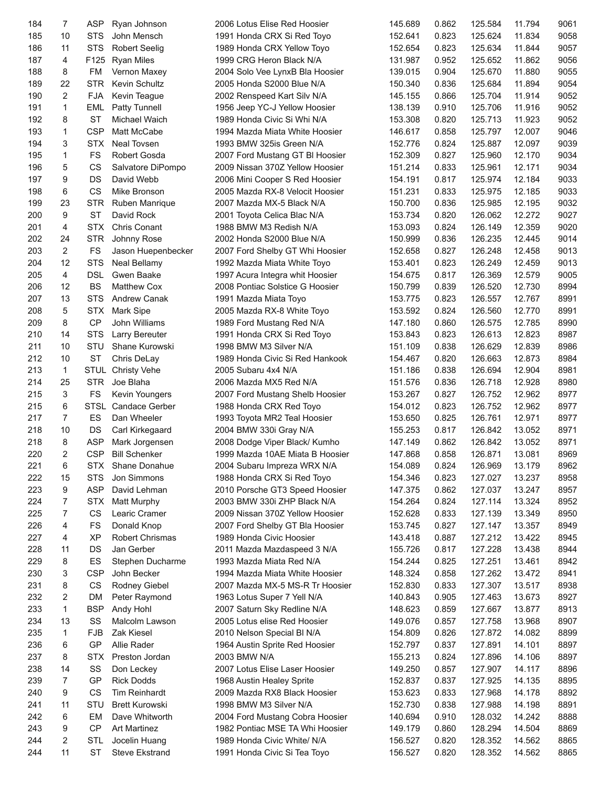| 184 | $\overline{7}$ | ASP        | Ryan Johnson           | 2006 Lotus Elise Red Hoosier                   | 145.689 | 0.862 | 125.584 | 11.794 | 9061 |
|-----|----------------|------------|------------------------|------------------------------------------------|---------|-------|---------|--------|------|
| 185 | 10             | <b>STS</b> | John Mensch            | 1991 Honda CRX Si Red Toyo                     | 152.641 | 0.823 | 125.624 | 11.834 | 9058 |
| 186 | 11             | <b>STS</b> | <b>Robert Seelig</b>   | 1989 Honda CRX Yellow Toyo                     | 152.654 | 0.823 | 125.634 | 11.844 | 9057 |
| 187 | 4              | F125       | <b>Ryan Miles</b>      | 1999 CRG Heron Black N/A                       | 131.987 | 0.952 | 125.652 | 11.862 | 9056 |
| 188 | 8              | FM         | Vernon Maxey           | 2004 Solo Vee LynxB Bla Hoosier                | 139.015 | 0.904 | 125.670 | 11.880 | 9055 |
| 189 | 22             | <b>STR</b> | Kevin Schultz          | 2005 Honda S2000 Blue N/A                      | 150.340 | 0.836 | 125.684 | 11.894 | 9054 |
| 190 | $\overline{2}$ | <b>FJA</b> | Kevin Teague           | 2002 Renspeed Kart Silv N/A                    | 145.155 | 0.866 | 125.704 | 11.914 | 9052 |
| 191 | 1              | EML        | Patty Tunnell          | 1956 Jeep YC-J Yellow Hoosier                  | 138.139 | 0.910 | 125.706 | 11.916 | 9052 |
| 192 | 8              | ST         | Michael Waich          | 1989 Honda Civic Si Whi N/A                    | 153.308 | 0.820 | 125.713 | 11.923 | 9052 |
| 193 | 1              | <b>CSP</b> | Matt McCabe            | 1994 Mazda Miata White Hoosier                 | 146.617 | 0.858 | 125.797 | 12.007 | 9046 |
| 194 | 3              | <b>STX</b> | <b>Neal Tovsen</b>     | 1993 BMW 325is Green N/A                       | 152.776 | 0.824 | 125.887 | 12.097 | 9039 |
| 195 | 1              | FS         | Robert Gosda           | 2007 Ford Mustang GT BI Hoosier                | 152.309 | 0.827 | 125.960 | 12.170 | 9034 |
| 196 | 5              | CS         | Salvatore DiPompo      | 2009 Nissan 370Z Yellow Hoosier                | 151.214 | 0.833 | 125.961 | 12.171 | 9034 |
| 197 | 9              | DS         | David Webb             | 2006 Mini Cooper S Red Hoosier                 | 154.191 | 0.817 | 125.974 | 12.184 | 9033 |
| 198 | 6              | CS         | Mike Bronson           | 2005 Mazda RX-8 Velocit Hoosier                | 151.231 | 0.833 | 125.975 | 12.185 | 9033 |
| 199 | 23             | <b>STR</b> | Ruben Manrique         | 2007 Mazda MX-5 Black N/A                      | 150.700 | 0.836 | 125.985 | 12.195 | 9032 |
| 200 | 9              | <b>ST</b>  | David Rock             | 2001 Toyota Celica Blac N/A                    | 153.734 | 0.820 | 126.062 | 12.272 | 9027 |
| 201 | 4              | <b>STX</b> | Chris Conant           | 1988 BMW M3 Redish N/A                         | 153.093 | 0.824 | 126.149 | 12.359 | 9020 |
| 202 | 24             | <b>STR</b> | Johnny Rose            | 2002 Honda S2000 Blue N/A                      | 150.999 | 0.836 | 126.235 | 12.445 | 9014 |
| 203 | $\overline{2}$ | FS         | Jason Huepenbecker     | 2007 Ford Shelby GT Whi Hoosier                | 152.658 | 0.827 | 126.248 | 12.458 | 9013 |
|     | 12             | <b>STS</b> |                        |                                                |         |       |         |        | 9013 |
| 204 |                |            | Neal Bellamy           | 1992 Mazda Miata White Toyo                    | 153.401 | 0.823 | 126.249 | 12.459 |      |
| 205 | $\overline{4}$ | DSL        | Gwen Baake             | 1997 Acura Integra whit Hoosier                | 154.675 | 0.817 | 126.369 | 12.579 | 9005 |
| 206 | 12             | <b>BS</b>  | <b>Matthew Cox</b>     | 2008 Pontiac Solstice G Hoosier                | 150.799 | 0.839 | 126.520 | 12.730 | 8994 |
| 207 | 13             | <b>STS</b> | <b>Andrew Canak</b>    | 1991 Mazda Miata Toyo                          | 153.775 | 0.823 | 126.557 | 12.767 | 8991 |
| 208 | 5              | <b>STX</b> | Mark Sipe              | 2005 Mazda RX-8 White Toyo                     | 153.592 | 0.824 | 126.560 | 12.770 | 8991 |
| 209 | 8              | CP         | John Williams          | 1989 Ford Mustang Red N/A                      | 147.180 | 0.860 | 126.575 | 12.785 | 8990 |
| 210 | 14             | <b>STS</b> | Larry Bereuter         | 1991 Honda CRX Si Red Toyo                     | 153.843 | 0.823 | 126.613 | 12.823 | 8987 |
| 211 | 10             | STU        | Shane Kurowski         | 1998 BMW M3 Silver N/A                         | 151.109 | 0.838 | 126.629 | 12.839 | 8986 |
| 212 | 10             | <b>ST</b>  | Chris DeLay            | 1989 Honda Civic Si Red Hankook                | 154.467 | 0.820 | 126.663 | 12.873 | 8984 |
| 213 | $\mathbf{1}$   |            | STUL Christy Vehe      | 2005 Subaru 4x4 N/A                            | 151.186 | 0.838 | 126.694 | 12.904 | 8981 |
| 214 | 25             | <b>STR</b> | Joe Blaha              | 2006 Mazda MX5 Red N/A                         | 151.576 | 0.836 | 126.718 | 12.928 | 8980 |
| 215 | 3              | FS         | Kevin Youngers         | 2007 Ford Mustang Shelb Hoosier                | 153.267 | 0.827 | 126.752 | 12.962 | 8977 |
| 215 | 6              |            | STSL Candace Gerber    | 1988 Honda CRX Red Toyo                        | 154.012 | 0.823 | 126.752 | 12.962 | 8977 |
| 217 | $\overline{7}$ | ES         | Dan Wheeler            | 1993 Toyota MR2 Teal Hoosier                   | 153.650 | 0.825 | 126.761 | 12.971 | 8977 |
| 218 | 10             | DS         | Carl Kirkegaard        | 2004 BMW 330i Gray N/A                         | 155.253 | 0.817 | 126.842 | 13.052 | 8971 |
| 218 | 8              | <b>ASP</b> | Mark Jorgensen         | 2008 Dodge Viper Black/ Kumho                  | 147.149 | 0.862 | 126.842 | 13.052 | 8971 |
| 220 | 2              | <b>CSP</b> | <b>Bill Schenker</b>   | 1999 Mazda 10AE Miata B Hoosier                | 147.868 | 0.858 | 126.871 | 13.081 | 8969 |
| 221 | 6              |            | STX Shane Donahue      | 2004 Subaru Impreza WRX N/A                    | 154.089 | 0.824 | 126.969 | 13.179 | 8962 |
| 222 | 15             | STS        | Jon Simmons            | 1988 Honda CRX Si Red Toyo                     | 154.346 | 0.823 | 127.027 | 13.237 | 8958 |
| 223 | 9              | <b>ASP</b> | David Lehman           | 2010 Porsche GT3 Speed Hoosier                 | 147.375 | 0.862 | 127.037 | 13.247 | 8957 |
| 224 | 7              | <b>STX</b> | Matt Murphy            | 2003 BMW 330i ZHP Black N/A                    | 154.264 | 0.824 | 127.114 | 13.324 | 8952 |
| 225 | 7              | CS         | Learic Cramer          | 2009 Nissan 370Z Yellow Hoosier                | 152.628 | 0.833 | 127.139 | 13.349 | 8950 |
| 226 | 4              | FS         | Donald Knop            | 2007 Ford Shelby GT Bla Hoosier                | 153.745 | 0.827 | 127.147 | 13.357 | 8949 |
| 227 | 4              | <b>XP</b>  | <b>Robert Chrismas</b> | 1989 Honda Civic Hoosier                       | 143.418 | 0.887 | 127.212 | 13.422 | 8945 |
| 228 | 11             | DS         | Jan Gerber             | 2011 Mazda Mazdaspeed 3 N/A                    | 155.726 | 0.817 | 127.228 | 13.438 | 8944 |
| 229 | 8              | ES         | Stephen Ducharme       | 1993 Mazda Miata Red N/A                       | 154.244 | 0.825 | 127.251 | 13.461 | 8942 |
| 230 | 3              | <b>CSP</b> | John Becker            | 1994 Mazda Miata White Hoosier                 | 148.324 | 0.858 | 127.262 | 13.472 | 8941 |
| 231 | 8              | CS         | Rodney Giebel          | 2007 Mazda MX-5 MS-R Tr Hoosier                | 152.830 | 0.833 | 127.307 | 13.517 | 8938 |
| 232 | 2              | DM         | Peter Raymond          | 1963 Lotus Super 7 Yell N/A                    | 140.843 | 0.905 | 127.463 | 13.673 | 8927 |
| 233 | $\mathbf{1}$   | <b>BSP</b> | Andy Hohl              | 2007 Saturn Sky Redline N/A                    | 148.623 | 0.859 | 127.667 | 13.877 | 8913 |
| 234 | 13             | SS         | Malcolm Lawson         | 2005 Lotus elise Red Hoosier                   | 149.076 | 0.857 | 127.758 | 13.968 | 8907 |
| 235 | 1              | <b>FJB</b> | Zak Kiesel             | 2010 Nelson Special BI N/A                     | 154.809 | 0.826 | 127.872 | 14.082 | 8899 |
| 236 | 6              | GP         | Allie Rader            | 1964 Austin Sprite Red Hoosier                 | 152.797 | 0.837 | 127.891 | 14.101 | 8897 |
| 237 | 8              | <b>STX</b> | Preston Jordan         |                                                | 155.213 | 0.824 | 127.896 | 14.106 | 8897 |
| 238 | 14             | SS         | Don Leckey             | 2003 BMW N/A<br>2007 Lotus Elise Laser Hoosier |         | 0.857 | 127.907 | 14.117 | 8896 |
|     |                | GP         |                        |                                                | 149.250 |       |         |        |      |
| 239 | 7              |            | <b>Rick Dodds</b>      | 1968 Austin Healey Sprite                      | 152.837 | 0.837 | 127.925 | 14.135 | 8895 |
| 240 | 9              | CS         | Tim Reinhardt          | 2009 Mazda RX8 Black Hoosier                   | 153.623 | 0.833 | 127.968 | 14.178 | 8892 |
| 241 | 11             | STU        | <b>Brett Kurowski</b>  | 1998 BMW M3 Silver N/A                         | 152.730 | 0.838 | 127.988 | 14.198 | 8891 |
| 242 | 6              | EM         | Dave Whitworth         | 2004 Ford Mustang Cobra Hoosier                | 140.694 | 0.910 | 128.032 | 14.242 | 8888 |
| 243 | 9              | CP         | <b>Art Martinez</b>    | 1982 Pontiac MSE TA Whi Hoosier                | 149.179 | 0.860 | 128.294 | 14.504 | 8869 |
| 244 | 2              | <b>STL</b> | Jocelin Huang          | 1989 Honda Civic White/ N/A                    | 156.527 | 0.820 | 128.352 | 14.562 | 8865 |
| 244 | 11             | ST         | <b>Steve Ekstrand</b>  | 1991 Honda Civic Si Tea Toyo                   | 156.527 | 0.820 | 128.352 | 14.562 | 8865 |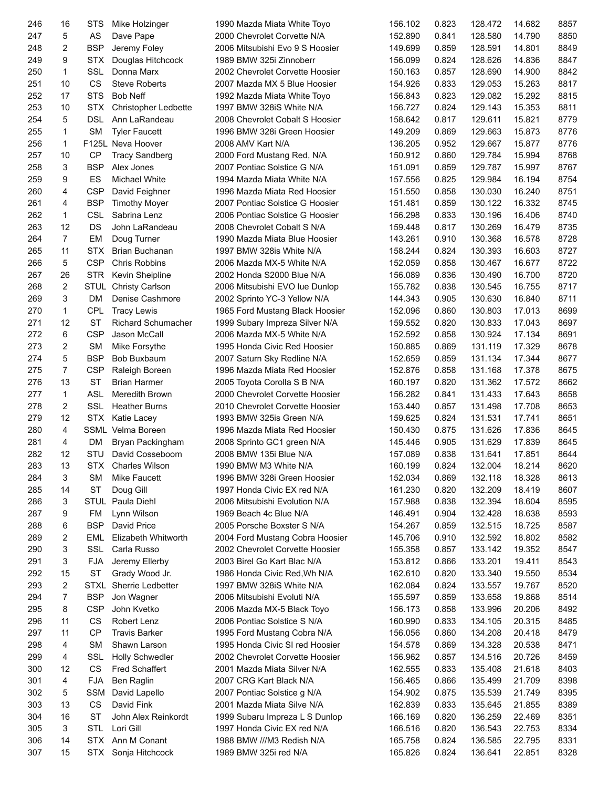| 246 | 16             | STS         | Mike Holzinger                       | 1990 Mazda Miata White Toyo     | 156.102 | 0.823 | 128.472 | 14.682 | 8857 |
|-----|----------------|-------------|--------------------------------------|---------------------------------|---------|-------|---------|--------|------|
| 247 | 5              | AS          | Dave Pape                            | 2000 Chevrolet Corvette N/A     | 152.890 | 0.841 | 128.580 | 14.790 | 8850 |
| 248 | 2              | <b>BSP</b>  | Jeremy Foley                         | 2006 Mitsubishi Evo 9 S Hoosier | 149.699 | 0.859 | 128.591 | 14.801 | 8849 |
| 249 | 9              | <b>STX</b>  | Douglas Hitchcock                    | 1989 BMW 325i Zinnoberr         | 156.099 | 0.824 | 128.626 | 14.836 | 8847 |
| 250 | $\mathbf{1}$   | <b>SSL</b>  | Donna Marx                           | 2002 Chevrolet Corvette Hoosier | 150.163 | 0.857 | 128.690 | 14.900 | 8842 |
| 251 | 10             | CS          | <b>Steve Roberts</b>                 | 2007 Mazda MX 5 Blue Hoosier    | 154.926 | 0.833 | 129.053 | 15.263 | 8817 |
| 252 | 17             | <b>STS</b>  | <b>Bob Neff</b>                      | 1992 Mazda Miata White Toyo     | 156.843 | 0.823 | 129.082 | 15.292 | 8815 |
| 253 | 10             | <b>STX</b>  | Christopher Ledbette                 | 1997 BMW 328iS White N/A        | 156.727 | 0.824 | 129.143 | 15.353 | 8811 |
| 254 | 5              | <b>DSL</b>  | Ann LaRandeau                        | 2008 Chevrolet Cobalt S Hoosier | 158.642 | 0.817 | 129.611 | 15.821 | 8779 |
| 255 | 1              | <b>SM</b>   | <b>Tyler Faucett</b>                 | 1996 BMW 328i Green Hoosier     | 149.209 | 0.869 | 129.663 | 15.873 | 8776 |
| 256 | $\mathbf{1}$   |             | F125L Neva Hoover                    | 2008 AMV Kart N/A               | 136.205 | 0.952 | 129.667 | 15.877 | 8776 |
| 257 | 10             | СP          | <b>Tracy Sandberg</b>                | 2000 Ford Mustang Red, N/A      | 150.912 | 0.860 | 129.784 | 15.994 | 8768 |
| 258 | 3              | <b>BSP</b>  | Alex Jones                           | 2007 Pontiac Solstice G N/A     | 151.091 | 0.859 | 129.787 | 15.997 | 8767 |
| 259 | 9              | ES          | <b>Michael White</b>                 | 1994 Mazda Miata White N/A      | 157.556 | 0.825 | 129.984 | 16.194 | 8754 |
| 260 | 4              | <b>CSP</b>  | David Feighner                       | 1996 Mazda Miata Red Hoosier    | 151.550 | 0.858 | 130.030 | 16.240 | 8751 |
| 261 | 4              | <b>BSP</b>  | <b>Timothy Moyer</b>                 | 2007 Pontiac Solstice G Hoosier | 151.481 | 0.859 | 130.122 | 16.332 | 8745 |
| 262 | $\mathbf{1}$   | <b>CSL</b>  | Sabrina Lenz                         | 2006 Pontiac Solstice G Hoosier | 156.298 | 0.833 | 130.196 | 16.406 | 8740 |
| 263 | 12             | <b>DS</b>   | John LaRandeau                       | 2008 Chevrolet Cobalt S N/A     | 159.448 | 0.817 | 130.269 | 16.479 | 8735 |
|     | $\overline{7}$ | EM          |                                      | 1990 Mazda Miata Blue Hoosier   |         |       |         |        |      |
| 264 |                |             | Doug Turner<br><b>Brian Buchanan</b> |                                 | 143.261 | 0.910 | 130.368 | 16.578 | 8728 |
| 265 | 11             | <b>STX</b>  |                                      | 1997 BMW 328is White N/A        | 158.244 | 0.824 | 130.393 | 16.603 | 8727 |
| 266 | 5              | <b>CSP</b>  | <b>Chris Robbins</b>                 | 2006 Mazda MX-5 White N/A       | 152.059 | 0.858 | 130.467 | 16.677 | 8722 |
| 267 | 26             | <b>STR</b>  | Kevin Sheipline                      | 2002 Honda S2000 Blue N/A       | 156.089 | 0.836 | 130.490 | 16.700 | 8720 |
| 268 | 2              |             | STUL Christy Carlson                 | 2006 Mitsubishi EVO lue Dunlop  | 155.782 | 0.838 | 130.545 | 16.755 | 8717 |
| 269 | 3              | DM          | Denise Cashmore                      | 2002 Sprinto YC-3 Yellow N/A    | 144.343 | 0.905 | 130.630 | 16.840 | 8711 |
| 270 | $\mathbf{1}$   | CPL         | <b>Tracy Lewis</b>                   | 1965 Ford Mustang Black Hoosier | 152.096 | 0.860 | 130.803 | 17.013 | 8699 |
| 271 | 12             | <b>ST</b>   | <b>Richard Schumacher</b>            | 1999 Subary Impreza Silver N/A  | 159.552 | 0.820 | 130.833 | 17.043 | 8697 |
| 272 | 6              | <b>CSP</b>  | Jason McCall                         | 2006 Mazda MX-5 White N/A       | 152.592 | 0.858 | 130.924 | 17.134 | 8691 |
| 273 | 2              | <b>SM</b>   | Mike Forsythe                        | 1995 Honda Civic Red Hoosier    | 150.885 | 0.869 | 131.119 | 17.329 | 8678 |
| 274 | 5              | <b>BSP</b>  | Bob Buxbaum                          | 2007 Saturn Sky Redline N/A     | 152.659 | 0.859 | 131.134 | 17.344 | 8677 |
| 275 | $\overline{7}$ | <b>CSP</b>  | Raleigh Boreen                       | 1996 Mazda Miata Red Hoosier    | 152.876 | 0.858 | 131.168 | 17.378 | 8675 |
| 276 | 13             | <b>ST</b>   | <b>Brian Harmer</b>                  | 2005 Toyota Corolla S B N/A     | 160.197 | 0.820 | 131.362 | 17.572 | 8662 |
| 277 | $\mathbf{1}$   | <b>ASL</b>  | Meredith Brown                       | 2000 Chevrolet Corvette Hoosier | 156.282 | 0.841 | 131.433 | 17.643 | 8658 |
| 278 | 2              | SSL         | <b>Heather Burns</b>                 | 2010 Chevrolet Corvette Hoosier | 153.440 | 0.857 | 131.498 | 17.708 | 8653 |
| 279 | 12             | <b>STX</b>  | Katie Lacey                          | 1993 BMW 325is Green N/A        | 159.625 | 0.824 | 131.531 | 17.741 | 8651 |
| 280 | 4              |             | SSML Velma Boreen                    | 1996 Mazda Miata Red Hoosier    | 150.430 | 0.875 | 131.626 | 17.836 | 8645 |
| 281 | 4              | DM          | Bryan Packingham                     | 2008 Sprinto GC1 green N/A      | 145.446 | 0.905 | 131.629 | 17.839 | 8645 |
| 282 | 12             | STU         | David Cosseboom                      | 2008 BMW 135i Blue N/A          | 157.089 | 0.838 | 131.641 | 17.851 | 8644 |
| 283 | 13             |             | STX Charles Wilson                   | 1990 BMW M3 White N/A           | 160.199 | 0.824 | 132.004 | 18.214 | 8620 |
| 284 | 3              | SΜ          | <b>Mike Faucett</b>                  | 1996 BMW 328i Green Hoosier     | 152.034 | 0.869 | 132.118 | 18.328 | 8613 |
| 285 | 14             | ST          | Doug Gill                            | 1997 Honda Civic EX red N/A     | 161.230 | 0.820 | 132.209 | 18.419 | 8607 |
| 286 | 3              | <b>STUL</b> | Paula Diehl                          | 2006 Mitsubishi Evolution N/A   | 157.988 | 0.838 | 132.394 | 18.604 | 8595 |
| 287 | 9              | FM          | Lynn Wilson                          | 1969 Beach 4c Blue N/A          | 146.491 | 0.904 | 132.428 | 18.638 | 8593 |
| 288 | 6              | <b>BSP</b>  | David Price                          | 2005 Porsche Boxster S N/A      | 154.267 | 0.859 | 132.515 | 18.725 | 8587 |
| 289 | 2              | EML         | Elizabeth Whitworth                  | 2004 Ford Mustang Cobra Hoosier | 145.706 | 0.910 | 132.592 | 18.802 | 8582 |
| 290 | 3              | <b>SSL</b>  | Carla Russo                          | 2002 Chevrolet Corvette Hoosier | 155.358 | 0.857 | 133.142 | 19.352 | 8547 |
| 291 | 3              | <b>FJA</b>  | Jeremy Ellerby                       | 2003 Birel Go Kart Blac N/A     | 153.812 | 0.866 | 133.201 | 19.411 | 8543 |
| 292 | 15             | ST          | Grady Wood Jr.                       | 1986 Honda Civic Red, Wh N/A    | 162.610 | 0.820 | 133.340 | 19.550 | 8534 |
| 293 | 2              | <b>STXL</b> | Sherrie Ledbetter                    | 1997 BMW 328iS White N/A        | 162.084 | 0.824 | 133.557 | 19.767 | 8520 |
| 294 | 7              | <b>BSP</b>  | Jon Wagner                           | 2006 Mitsubishi Evoluti N/A     | 155.597 | 0.859 | 133.658 | 19.868 | 8514 |
| 295 | 8              | <b>CSP</b>  | John Kvetko                          | 2006 Mazda MX-5 Black Toyo      | 156.173 | 0.858 | 133.996 | 20.206 | 8492 |
| 296 | 11             | CS          | Robert Lenz                          | 2006 Pontiac Solstice S N/A     | 160.990 | 0.833 | 134.105 | 20.315 | 8485 |
|     | 11             | <b>CP</b>   | <b>Travis Barker</b>                 |                                 |         |       |         |        |      |
| 297 |                |             |                                      | 1995 Ford Mustang Cobra N/A     | 156.056 | 0.860 | 134.208 | 20.418 | 8479 |
| 298 | 4              | <b>SM</b>   | Shawn Larson                         | 1995 Honda Civic SI red Hoosier | 154.578 | 0.869 | 134.328 | 20.538 | 8471 |
| 299 | 4              | SSL         | <b>Holly Schwedler</b>               | 2002 Chevrolet Corvette Hoosier | 156.962 | 0.857 | 134.516 | 20.726 | 8459 |
| 300 | 12             | CS          | <b>Fred Schaffert</b>                | 2001 Mazda Miata Silver N/A     | 162.555 | 0.833 | 135.408 | 21.618 | 8403 |
| 301 | 4              | <b>FJA</b>  | Ben Raglin                           | 2007 CRG Kart Black N/A         | 156.465 | 0.866 | 135.499 | 21.709 | 8398 |
| 302 | 5              | <b>SSM</b>  | David Lapello                        | 2007 Pontiac Solstice g N/A     | 154.902 | 0.875 | 135.539 | 21.749 | 8395 |
| 303 | 13             | CS          | David Fink                           | 2001 Mazda Miata Silve N/A      | 162.839 | 0.833 | 135.645 | 21.855 | 8389 |
| 304 | 16             | ST          | John Alex Reinkordt                  | 1999 Subaru Impreza L S Dunlop  | 166.169 | 0.820 | 136.259 | 22.469 | 8351 |
| 305 | 3              | STL         | Lori Gill                            | 1997 Honda Civic EX red N/A     | 166.516 | 0.820 | 136.543 | 22.753 | 8334 |
| 306 | 14             |             | STX Ann M Conant                     | 1988 BMW ///M3 Redish N/A       | 165.758 | 0.824 | 136.585 | 22.795 | 8331 |
| 307 | 15             |             | STX Sonja Hitchcock                  | 1989 BMW 325i red N/A           | 165.826 | 0.824 | 136.641 | 22.851 | 8328 |